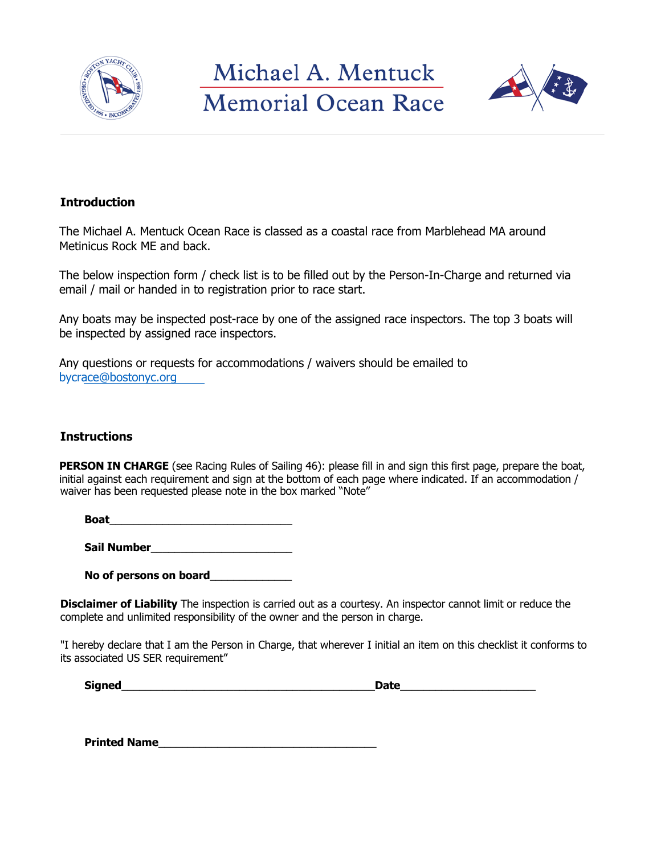

Michael A. Mentuck **Memorial Ocean Race** 



## **Introduction**

The Michael A. Mentuck Ocean Race is classed as a coastal race from Marblehead MA around Metinicus Rock ME and back.

The below inspection form / check list is to be filled out by the Person-In-Charge and returned via email / mail or handed in to registration prior to race start.

Any boats may be inspected post-race by one of the assigned race inspectors. The top 3 boats will be inspected by assigned race inspectors.

Any questions or requests for accommodations / waivers should be emailed to bycrace@bostonyc.org

## **Instructions**

**PERSON IN CHARGE** (see Racing Rules of Sailing 46): please fill in and sign this first page, prepare the boat, initial against each requirement and sign at the bottom of each page where indicated. If an accommodation / waiver has been requested please note in the box marked "Note"

**Boat** 

**Sail Number**\_\_\_\_\_\_\_\_\_\_\_\_\_\_\_\_\_\_\_\_\_\_\_\_

**No of persons on board**\_\_\_\_\_\_\_\_\_\_\_\_\_\_

**Disclaimer of Liability** The inspection is carried out as a courtesy. An inspector cannot limit or reduce the complete and unlimited responsibility of the owner and the person in charge.

"I hereby declare that I am the Person in Charge, that wherever I initial an item on this checklist it conforms to its associated US SER requirement"

| <b>Signed</b> | Date |
|---------------|------|
|               |      |

**Printed Name**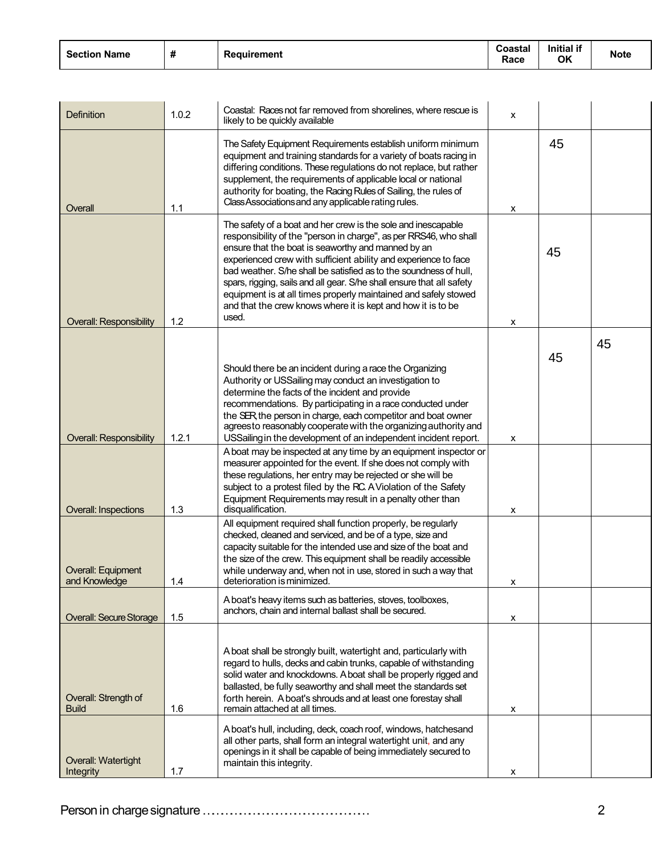| <b>Section Name</b> | $\overline{\mathbf{u}}$<br>π | Reauirement | Coastal<br>Race | <b>Initial if</b><br>OK | <b>Note</b> |
|---------------------|------------------------------|-------------|-----------------|-------------------------|-------------|
|---------------------|------------------------------|-------------|-----------------|-------------------------|-------------|

| Definition                           | 1.0.2 | Coastal: Races not far removed from shorelines, where rescue is<br>likely to be quickly available                                                                                                                                                                                                                                                                                                                                                                                                                                                     | X |    |    |
|--------------------------------------|-------|-------------------------------------------------------------------------------------------------------------------------------------------------------------------------------------------------------------------------------------------------------------------------------------------------------------------------------------------------------------------------------------------------------------------------------------------------------------------------------------------------------------------------------------------------------|---|----|----|
| Overall                              | 1.1   | The Safety Equipment Requirements establish uniform minimum<br>equipment and training standards for a variety of boats racing in<br>differing conditions. These regulations do not replace, but rather<br>supplement, the requirements of applicable local or national<br>authority for boating, the Racing Rules of Sailing, the rules of<br>Class Associations and any applicable rating rules.                                                                                                                                                     | x | 45 |    |
| <b>Overall: Responsibility</b>       | 1.2   | The safety of a boat and her crew is the sole and inescapable<br>responsibility of the "person in charge", as per RRS46, who shall<br>ensure that the boat is seaworthy and manned by an<br>experienced crew with sufficient ability and experience to face<br>bad weather. S/he shall be satisfied as to the soundness of hull,<br>spars, rigging, sails and all gear. S/he shall ensure that all safety<br>equipment is at all times properly maintained and safely stowed<br>and that the crew knows where it is kept and how it is to be<br>used. | X | 45 |    |
|                                      |       |                                                                                                                                                                                                                                                                                                                                                                                                                                                                                                                                                       |   |    | 45 |
| <b>Overall: Responsibility</b>       | 1.2.1 | Should there be an incident during a race the Organizing<br>Authority or USSailing may conduct an investigation to<br>determine the facts of the incident and provide<br>recommendations. By participating in a race conducted under<br>the SER, the person in charge, each competitor and boat owner<br>agreesto reasonably cooperate with the organizing authority and<br>USSailing in the development of an independent incident report.                                                                                                           | X | 45 |    |
| <b>Overall: Inspections</b>          | 1.3   | A boat may be inspected at any time by an equipment inspector or<br>measurer appointed for the event. If she does not comply with<br>these regulations, her entry may be rejected or she will be<br>subject to a protest filed by the RC. A Violation of the Safety<br>Equipment Requirements may result in a penalty other than<br>disqualification.                                                                                                                                                                                                 | х |    |    |
| Overall: Equipment<br>and Knowledge  | 1.4   | All equipment required shall function properly, be regularly<br>checked, cleaned and serviced, and be of a type, size and<br>capacity suitable for the intended use and size of the boat and<br>the size of the crew. This equipment shall be readily accessible<br>while underway and, when not in use, stored in such a way that<br>deterioration is minimized.                                                                                                                                                                                     | x |    |    |
| <b>Overall: Secure Storage</b>       | 1.5   | A boat's heavy items such as batteries, stoves, toolboxes,<br>anchors, chain and internal ballast shall be secured.                                                                                                                                                                                                                                                                                                                                                                                                                                   | x |    |    |
| Overall: Strength of<br><b>Build</b> | 1.6   | A boat shall be strongly built, watertight and, particularly with<br>regard to hulls, decks and cabin trunks, capable of withstanding<br>solid water and knockdowns. A boat shall be properly rigged and<br>ballasted, be fully seaworthy and shall meet the standards set<br>forth herein. A boat's shrouds and at least one forestay shall<br>remain attached at all times.                                                                                                                                                                         | x |    |    |
| Overall: Watertight<br>Integrity     | 1.7   | A boat's hull, including, deck, coach roof, windows, hatchesand<br>all other parts, shall form an integral watertight unit, and any<br>openings in it shall be capable of being immediately secured to<br>maintain this integrity.                                                                                                                                                                                                                                                                                                                    | х |    |    |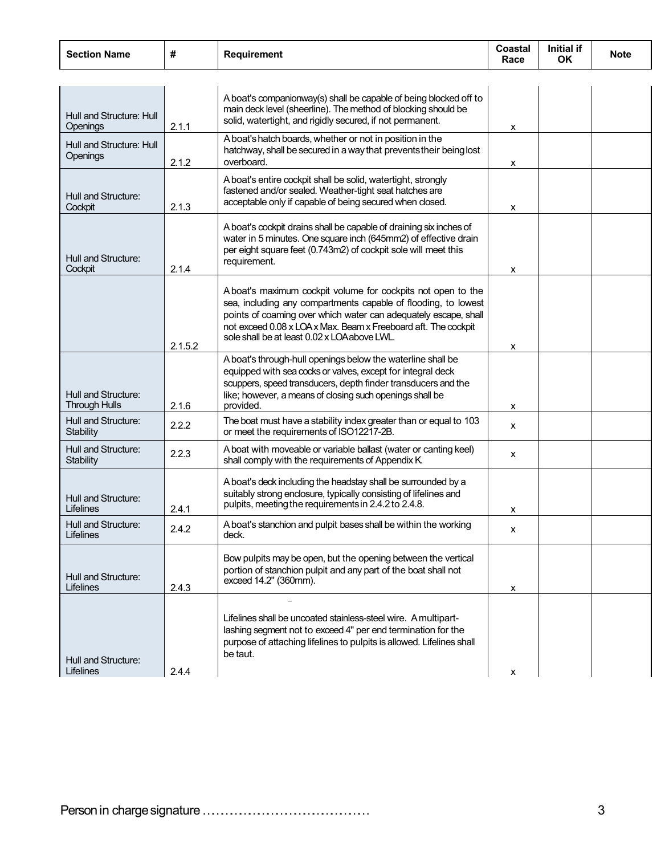| <b>Section Name</b>                         | #       | <b>Requirement</b>                                                                                                                                                                                                                                                                                                  | Coastal<br>Race | Initial if<br><b>OK</b> | <b>Note</b> |
|---------------------------------------------|---------|---------------------------------------------------------------------------------------------------------------------------------------------------------------------------------------------------------------------------------------------------------------------------------------------------------------------|-----------------|-------------------------|-------------|
|                                             |         |                                                                                                                                                                                                                                                                                                                     |                 |                         |             |
| Hull and Structure: Hull<br>Openings        | 2.1.1   | A boat's companionway(s) shall be capable of being blocked off to<br>main deck level (sheerline). The method of blocking should be<br>solid, watertight, and rigidly secured, if not permanent.                                                                                                                     | x               |                         |             |
| Hull and Structure: Hull<br>Openings        | 2.1.2   | A boat's hatch boards, whether or not in position in the<br>hatchway, shall be secured in a way that prevents their being lost<br>overboard.                                                                                                                                                                        | x               |                         |             |
| Hull and Structure:<br>Cockpit              | 2.1.3   | A boat's entire cockpit shall be solid, watertight, strongly<br>fastened and/or sealed. Weather-tight seat hatches are<br>acceptable only if capable of being secured when closed.                                                                                                                                  | x               |                         |             |
| Hull and Structure:<br>Cockpit              | 2.1.4   | A boat's cockpit drains shall be capable of draining six inches of<br>water in 5 minutes. One square inch (645mm2) of effective drain<br>per eight square feet (0.743m2) of cockpit sole will meet this<br>requirement.                                                                                             | x               |                         |             |
|                                             | 2.1.5.2 | A boat's maximum cockpit volume for cockpits not open to the<br>sea, including any compartments capable of flooding, to lowest<br>points of coaming over which water can adequately escape, shall<br>not exceed 0.08 x LOA x Max. Beam x Freeboard aft. The cockpit<br>sole shall be at least 0.02 x LOA above LWL. | х               |                         |             |
| Hull and Structure:<br><b>Through Hulls</b> | 2.1.6   | A boat's through-hull openings below the waterline shall be<br>equipped with sea cocks or valves, except for integral deck<br>scuppers, speed transducers, depth finder transducers and the<br>like; however, a means of closing such openings shall be<br>provided.                                                | X               |                         |             |
| Hull and Structure:<br>Stability            | 2.2.2   | The boat must have a stability index greater than or equal to 103<br>or meet the requirements of ISO12217-2B.                                                                                                                                                                                                       | X               |                         |             |
| Hull and Structure:<br>Stability            | 2.2.3   | A boat with moveable or variable ballast (water or canting keel)<br>shall comply with the requirements of Appendix K.                                                                                                                                                                                               | X               |                         |             |
| Hull and Structure:<br>Lifelines            | 2.4.1   | A boat's deck including the headstay shall be surrounded by a<br>suitably strong enclosure, typically consisting of lifelines and<br>pulpits, meeting the requirements in 2.4.2 to 2.4.8.                                                                                                                           | x               |                         |             |
| Hull and Structure:<br>Lifelines            | 2.4.2   | A boat's stanchion and pulpit bases shall be within the working<br>deck.                                                                                                                                                                                                                                            | X               |                         |             |
| Hull and Structure:<br>Lifelines            | 2.4.3   | Bow pulpits may be open, but the opening between the vertical<br>portion of stanchion pulpit and any part of the boat shall not<br>exceed 14.2" (360mm).                                                                                                                                                            | х               |                         |             |
| Hull and Structure:<br>Lifelines            | 2.4.4   | Lifelines shall be uncoated stainless-steel wire. A multipart-<br>lashing segment not to exceed 4" per end termination for the<br>purpose of attaching lifelines to pulpits is allowed. Lifelines shall<br>be taut.                                                                                                 | X               |                         |             |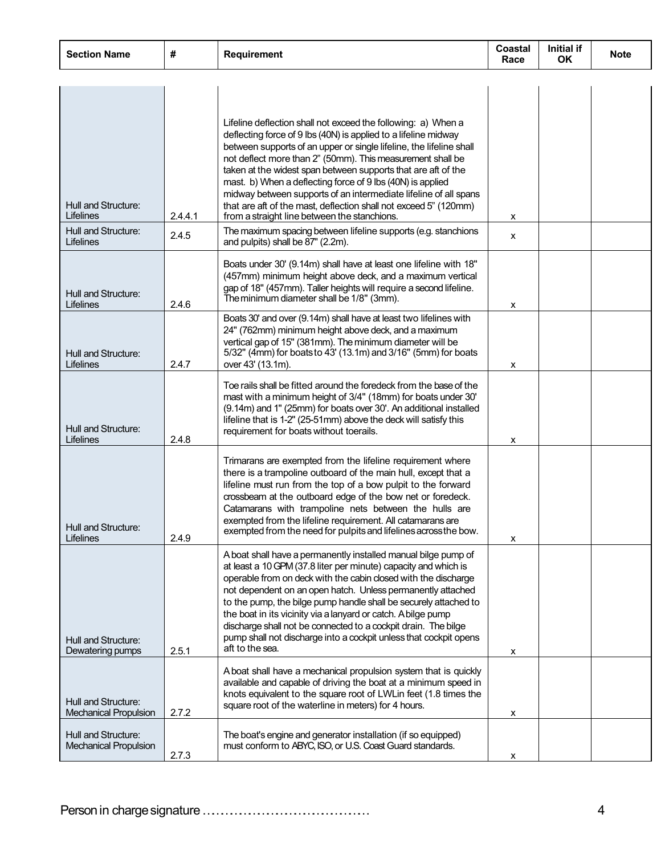| <b>Section Name</b>                                     | #       | <b>Requirement</b>                                                                                                                                                                                                                                                                                                                                                                                                                                                                                                                                                                           | Coastal<br>Race | <b>Initial if</b><br>OK. | <b>Note</b> |
|---------------------------------------------------------|---------|----------------------------------------------------------------------------------------------------------------------------------------------------------------------------------------------------------------------------------------------------------------------------------------------------------------------------------------------------------------------------------------------------------------------------------------------------------------------------------------------------------------------------------------------------------------------------------------------|-----------------|--------------------------|-------------|
|                                                         |         |                                                                                                                                                                                                                                                                                                                                                                                                                                                                                                                                                                                              |                 |                          |             |
| Hull and Structure:<br>Lifelines<br>Hull and Structure: | 2.4.4.1 | Lifeline deflection shall not exceed the following: a) When a<br>deflecting force of 9 lbs (40N) is applied to a lifeline midway<br>between supports of an upper or single lifeline, the lifeline shall<br>not deflect more than 2" (50mm). This measurement shall be<br>taken at the widest span between supports that are aft of the<br>mast. b) When a deflecting force of 9 lbs (40N) is applied<br>midway between supports of an intermediate lifeline of all spans<br>that are aft of the mast, deflection shall not exceed 5" (120mm)<br>from a straight line between the stanchions. | x               |                          |             |
| Lifelines                                               | 2.4.5   | The maximum spacing between lifeline supports (e.g. stanchions<br>and pulpits) shall be 87" (2.2m).                                                                                                                                                                                                                                                                                                                                                                                                                                                                                          | x               |                          |             |
| Hull and Structure:<br>Lifelines                        | 2.4.6   | Boats under 30' (9.14m) shall have at least one lifeline with 18"<br>(457mm) minimum height above deck, and a maximum vertical<br>gap of 18" (457mm). Taller heights will require a second lifeline.<br>The minimum diameter shall be 1/8" (3mm).                                                                                                                                                                                                                                                                                                                                            | x               |                          |             |
| Hull and Structure:<br>Lifelines                        | 2.4.7   | Boats 30' and over (9.14m) shall have at least two lifelines with<br>24" (762mm) minimum height above deck, and a maximum<br>vertical gap of 15" (381mm). The minimum diameter will be<br>5/32" (4mm) for boats to 43' (13.1m) and 3/16" (5mm) for boats<br>over 43' (13.1m).                                                                                                                                                                                                                                                                                                                | х               |                          |             |
| Hull and Structure:<br>Lifelines                        | 2.4.8   | Toe rails shall be fitted around the foredeck from the base of the<br>mast with a minimum height of 3/4" (18mm) for boats under 30'<br>(9.14m) and 1" (25mm) for boats over 30'. An additional installed<br>lifeline that is 1-2" (25-51mm) above the deck will satisfy this<br>requirement for boats without toerails.                                                                                                                                                                                                                                                                      | x               |                          |             |
| Hull and Structure:<br>Lifelines                        | 2.4.9   | Trimarans are exempted from the lifeline requirement where<br>there is a trampoline outboard of the main hull, except that a<br>lifeline must run from the top of a bow pulpit to the forward<br>crossbeam at the outboard edge of the bow net or foredeck.<br>Catamarans with trampoline nets between the hulls are<br>exempted from the lifeline requirement. All catamarans are<br>exempted from the need for pulpits and lifelines across the bow.                                                                                                                                       | х               |                          |             |
| Hull and Structure:<br>Dewatering pumps                 | 2.5.1   | A boat shall have a permanently installed manual bilge pump of<br>at least a 10 GPM (37.8 liter per minute) capacity and which is<br>operable from on deck with the cabin closed with the discharge<br>not dependent on an open hatch. Unless permanently attached<br>to the pump, the bilge pump handle shall be securely attached to<br>the boat in its vicinity via a lanyard or catch. A bilge pump<br>discharge shall not be connected to a cockpit drain. The bilge<br>pump shall not discharge into a cockpit unless that cockpit opens<br>aft to the sea.                            | х               |                          |             |
| Hull and Structure:<br><b>Mechanical Propulsion</b>     | 2.7.2   | A boat shall have a mechanical propulsion system that is quickly<br>available and capable of driving the boat at a minimum speed in<br>knots equivalent to the square root of LWLin feet (1.8 times the<br>square root of the waterline in meters) for 4 hours.                                                                                                                                                                                                                                                                                                                              | x               |                          |             |
| Hull and Structure:<br><b>Mechanical Propulsion</b>     | 2.7.3   | The boat's engine and generator installation (if so equipped)<br>must conform to ABYC, ISO, or U.S. Coast Guard standards.                                                                                                                                                                                                                                                                                                                                                                                                                                                                   | x               |                          |             |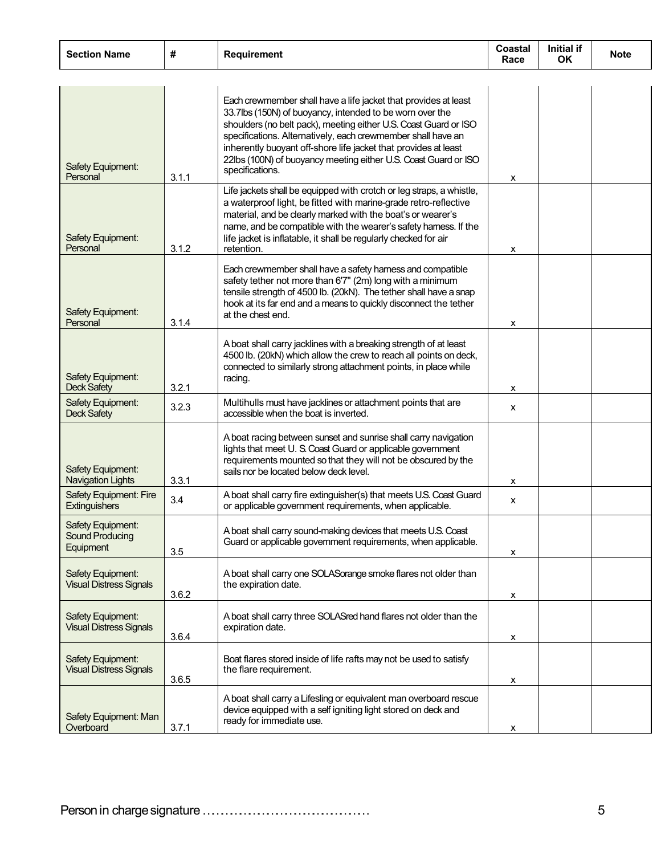| <b>Section Name</b>                                   | #     | <b>Requirement</b>                                                                                                                                                                                                                                                                                                                                                                                                       | Coastal<br>Race | <b>Initial if</b><br><b>OK</b> | <b>Note</b> |
|-------------------------------------------------------|-------|--------------------------------------------------------------------------------------------------------------------------------------------------------------------------------------------------------------------------------------------------------------------------------------------------------------------------------------------------------------------------------------------------------------------------|-----------------|--------------------------------|-------------|
|                                                       |       |                                                                                                                                                                                                                                                                                                                                                                                                                          |                 |                                |             |
| Safety Equipment:<br>Personal                         | 3.1.1 | Each crewmember shall have a life jacket that provides at least<br>33.7lbs (150N) of buoyancy, intended to be worn over the<br>shoulders (no belt pack), meeting either U.S. Coast Guard or ISO<br>specifications. Alternatively, each crewmember shall have an<br>inherently buoyant off-shore life jacket that provides at least<br>22lbs (100N) of buoyancy meeting either U.S. Coast Guard or ISO<br>specifications. | X               |                                |             |
| Safety Equipment:<br>Personal                         | 3.1.2 | Life jackets shall be equipped with crotch or leg straps, a whistle,<br>a waterproof light, be fitted with marine-grade retro-reflective<br>material, and be clearly marked with the boat's or wearer's<br>name, and be compatible with the wearer's safety hamess. If the<br>life jacket is inflatable, it shall be regularly checked for air<br>retention.                                                             | x               |                                |             |
| Safety Equipment:<br>Personal                         | 3.1.4 | Each crewmember shall have a safety hamess and compatible<br>safety tether not more than 6'7" (2m) long with a minimum<br>tensile strength of 4500 lb. (20kN). The tether shall have a snap<br>hook at its far end and a means to quickly disconnect the tether<br>at the chest end.                                                                                                                                     | х               |                                |             |
| Safety Equipment:<br><b>Deck Safety</b>               | 3.2.1 | A boat shall carry jacklines with a breaking strength of at least<br>4500 lb. (20kN) which allow the crew to reach all points on deck,<br>connected to similarly strong attachment points, in place while<br>racing.                                                                                                                                                                                                     | x               |                                |             |
| Safety Equipment:<br><b>Deck Safety</b>               | 3.2.3 | Multihulls must have jacklines or attachment points that are<br>accessible when the boat is inverted.                                                                                                                                                                                                                                                                                                                    | X               |                                |             |
| Safety Equipment:<br><b>Navigation Lights</b>         | 3.3.1 | A boat racing between sunset and sunrise shall carry navigation<br>lights that meet U.S. Coast Guard or applicable government<br>requirements mounted so that they will not be obscured by the<br>sails nor be located below deck level.                                                                                                                                                                                 | x               |                                |             |
| <b>Safety Equipment: Fire</b><br><b>Extinguishers</b> | 3.4   | A boat shall carry fire extinguisher(s) that meets U.S. Coast Guard<br>or applicable government requirements, when applicable.                                                                                                                                                                                                                                                                                           | X               |                                |             |
| Safety Equipment:<br>Sound Producing<br>Equipment     | 3.5   | A boat shall carry sound-making devices that meets U.S. Coast<br>Guard or applicable government requirements, when applicable.                                                                                                                                                                                                                                                                                           | х               |                                |             |
| Safety Equipment:<br><b>Visual Distress Signals</b>   | 3.6.2 | A boat shall carry one SOLASorange smoke flares not older than<br>the expiration date.                                                                                                                                                                                                                                                                                                                                   | х               |                                |             |
| Safety Equipment:<br><b>Visual Distress Signals</b>   | 3.6.4 | A boat shall carry three SOLASred hand flares not older than the<br>expiration date.                                                                                                                                                                                                                                                                                                                                     | х               |                                |             |
| Safety Equipment:<br><b>Visual Distress Signals</b>   | 3.6.5 | Boat flares stored inside of life rafts may not be used to satisfy<br>the flare requirement.                                                                                                                                                                                                                                                                                                                             | х               |                                |             |
| Safety Equipment: Man<br>Overboard                    | 3.7.1 | A boat shall carry a Lifesling or equivalent man overboard rescue<br>device equipped with a self igniting light stored on deck and<br>ready for immediate use.                                                                                                                                                                                                                                                           | X               |                                |             |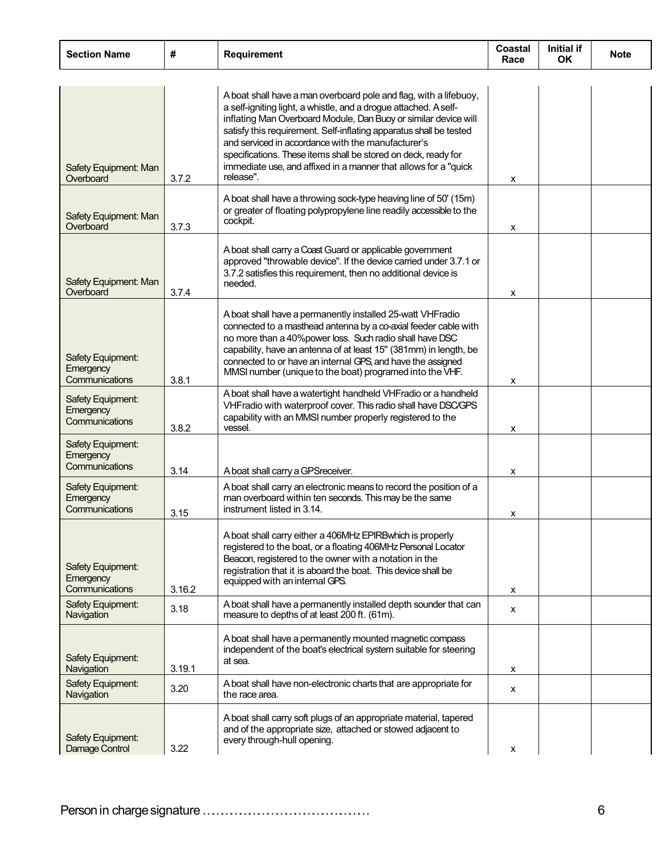| <b>Section Name</b>                                     | #      | <b>Requirement</b>                                                                                                                                                                                                                                                                                                                                                                                                                                                                     | Coastal<br>Race | Initial if<br><b>OK</b> | <b>Note</b> |
|---------------------------------------------------------|--------|----------------------------------------------------------------------------------------------------------------------------------------------------------------------------------------------------------------------------------------------------------------------------------------------------------------------------------------------------------------------------------------------------------------------------------------------------------------------------------------|-----------------|-------------------------|-------------|
| Safety Equipment: Man<br>Overboard                      | 3.7.2  | A boat shall have a man overboard pole and flag, with a lifebuoy,<br>a self-igniting light, a whistle, and a drogue attached. A self-<br>inflating Man Overboard Module, Dan Buoy or similar device will<br>satisfy this requirement. Self-inflating apparatus shall be tested<br>and serviced in accordance with the manufacturer's<br>specifications. These items shall be stored on deck, ready for<br>immediate use, and affixed in a manner that allows for a "quick<br>release". | x               |                         |             |
| Safety Equipment: Man<br>Overboard                      | 3.7.3  | A boat shall have a throwing sock-type heaving line of 50' (15m)<br>or greater of floating polypropylene line readily accessible to the<br>cockpit.                                                                                                                                                                                                                                                                                                                                    | x               |                         |             |
| Safety Equipment: Man<br>Overboard                      | 3.7.4  | A boat shall carry a Coast Guard or applicable government<br>approved "throwable device". If the device carried under 3.7.1 or<br>3.7.2 satisfies this requirement, then no additional device is<br>needed.                                                                                                                                                                                                                                                                            | x               |                         |             |
| Safety Equipment:<br>Emergency<br>Communications        | 3.8.1  | A boat shall have a permanently installed 25-watt VHFradio<br>connected to a masthead antenna by a co-axial feeder cable with<br>no more than a 40%power loss. Such radio shall have DSC<br>capability, have an antenna of at least 15" (381mm) in length, be<br>connected to or have an internal GPS, and have the assigned<br>MMSI number (unique to the boat) programed into the VHF.                                                                                               | x               |                         |             |
| Safety Equipment:<br>Emergency<br>Communications        | 3.8.2  | A boat shall have a watertight handheld VHFradio or a handheld<br>VHFradio with waterproof cover. This radio shall have DSC/GPS<br>capability with an MMSI number properly registered to the<br>vessel.                                                                                                                                                                                                                                                                                | x               |                         |             |
| Safety Equipment:<br>Emergency<br><b>Communications</b> | 3.14   | A boat shall carry a GPSreceiver.                                                                                                                                                                                                                                                                                                                                                                                                                                                      | x               |                         |             |
| <b>Safety Equipment:</b><br>Emergency<br>Communications | 3.15   | A boat shall carry an electronic means to record the position of a<br>man overboard within ten seconds. This may be the same<br>instrument listed in 3.14.                                                                                                                                                                                                                                                                                                                             | х               |                         |             |
| Safety Equipment:<br>Emergency<br>Communications        | 3.16.2 | A boat shall carry either a 406MHz EPIRBwhich is properly<br>registered to the boat, or a floating 406MHz Personal Locator<br>Beacon, registered to the owner with a notation in the<br>registration that it is aboard the boat. This device shall be<br>equipped with an internal GPS.                                                                                                                                                                                                | x               |                         |             |
| Safety Equipment:<br>Navigation                         | 3.18   | A boat shall have a permanently installed depth sounder that can<br>measure to depths of at least 200 ft. (61m).                                                                                                                                                                                                                                                                                                                                                                       | x               |                         |             |
| Safety Equipment:<br>Navigation                         | 3.19.1 | A boat shall have a permanently mounted magnetic compass<br>independent of the boat's electrical system suitable for steering<br>at sea.                                                                                                                                                                                                                                                                                                                                               | x               |                         |             |
| Safety Equipment:<br>Navigation                         | 3.20   | A boat shall have non-electronic charts that are appropriate for<br>the race area.                                                                                                                                                                                                                                                                                                                                                                                                     | x               |                         |             |
| Safety Equipment:<br>Damage Control                     | 3.22   | A boat shall carry soft plugs of an appropriate material, tapered<br>and of the appropriate size, attached or stowed adjacent to<br>every through-hull opening.                                                                                                                                                                                                                                                                                                                        | x               |                         |             |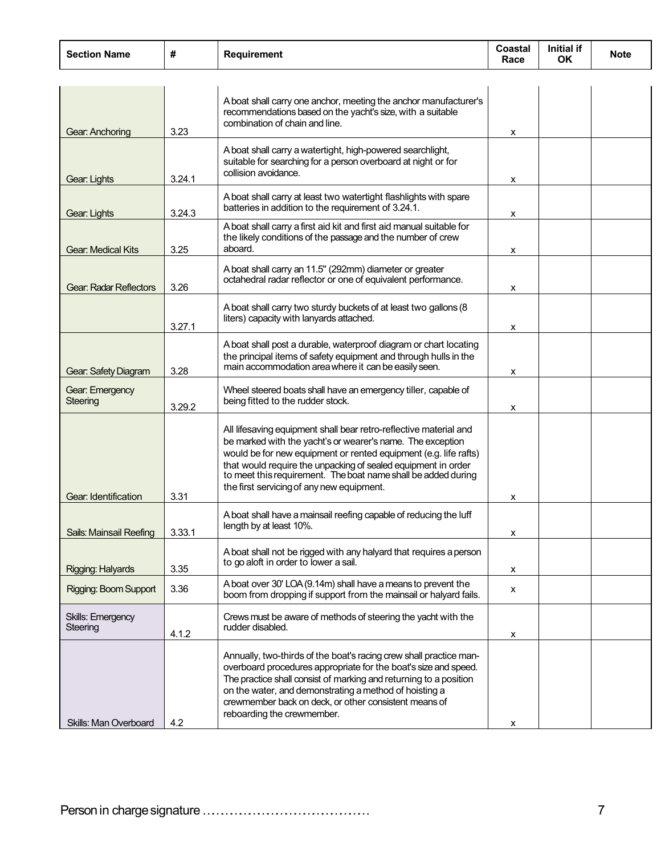| <b>Section Name</b>           | #      | <b>Requirement</b>                                                                                                                                                                                                                                                                                                                                                                 | Coastal<br>Race | Initial if<br><b>OK</b> | <b>Note</b> |
|-------------------------------|--------|------------------------------------------------------------------------------------------------------------------------------------------------------------------------------------------------------------------------------------------------------------------------------------------------------------------------------------------------------------------------------------|-----------------|-------------------------|-------------|
|                               |        |                                                                                                                                                                                                                                                                                                                                                                                    |                 |                         |             |
| Gear: Anchoring               | 3.23   | A boat shall carry one anchor, meeting the anchor manufacturer's<br>recommendations based on the yacht's size, with a suitable<br>combination of chain and line.                                                                                                                                                                                                                   | х               |                         |             |
| Gear: Lights                  | 3.24.1 | A boat shall carry a watertight, high-powered searchlight,<br>suitable for searching for a person overboard at night or for<br>collision avoidance.                                                                                                                                                                                                                                | х               |                         |             |
| Gear: Lights                  | 3.24.3 | A boat shall carry at least two watertight flashlights with spare<br>batteries in addition to the requirement of 3.24.1.                                                                                                                                                                                                                                                           | X               |                         |             |
| <b>Gear: Medical Kits</b>     | 3.25   | A boat shall carry a first aid kit and first aid manual suitable for<br>the likely conditions of the passage and the number of crew<br>aboard.                                                                                                                                                                                                                                     | X               |                         |             |
| <b>Gear: Radar Reflectors</b> | 3.26   | A boat shall carry an 11.5" (292mm) diameter or greater<br>octahedral radar reflector or one of equivalent performance.                                                                                                                                                                                                                                                            | x               |                         |             |
|                               | 3.27.1 | A boat shall carry two sturdy buckets of at least two gallons (8<br>liters) capacity with lanyards attached.                                                                                                                                                                                                                                                                       | x               |                         |             |
| Gear: Safety Diagram          | 3.28   | A boat shall post a durable, waterproof diagram or chart locating<br>the principal items of safety equipment and through hulls in the<br>main accommodation area where it can be easily seen.                                                                                                                                                                                      | x               |                         |             |
| Gear: Emergency<br>Steering   | 3.29.2 | Wheel steered boats shall have an emergency tiller, capable of<br>being fitted to the rudder stock.                                                                                                                                                                                                                                                                                | х               |                         |             |
| Gear: Identification          | 3.31   | All lifesaving equipment shall bear retro-reflective material and<br>be marked with the yacht's or wearer's name. The exception<br>would be for new equipment or rented equipment (e.g. life rafts)<br>that would require the unpacking of sealed equipment in order<br>to meet this requirement. The boat name shall be added during<br>the first servicing of any new equipment. | х               |                         |             |
| Sails: Mainsail Reefing       | 3.33.1 | A boat shall have a mainsail reefing capable of reducing the luff<br>length by at least 10%.                                                                                                                                                                                                                                                                                       | х               |                         |             |
| Rigging: Halyards             | 3.35   | A boat shall not be rigged with any halyard that requires a person<br>to go aloft in order to lower a sail.                                                                                                                                                                                                                                                                        | х               |                         |             |
| Rigging: Boom Support         | 3.36   | A boat over 30' LOA (9.14m) shall have a means to prevent the<br>boom from dropping if support from the mainsail or halyard fails.                                                                                                                                                                                                                                                 | X               |                         |             |
| Skills: Emergency<br>Steering | 4.1.2  | Crews must be aware of methods of steering the yacht with the<br>rudder disabled.                                                                                                                                                                                                                                                                                                  | х               |                         |             |
| Skills: Man Overboard         | 42     | Annually, two-thirds of the boat's racing crew shall practice man-<br>overboard procedures appropriate for the boat's size and speed.<br>The practice shall consist of marking and returning to a position<br>on the water, and demonstrating a method of hoisting a<br>crewmember back on deck, or other consistent means of<br>reboarding the crewmember.                        |                 |                         |             |